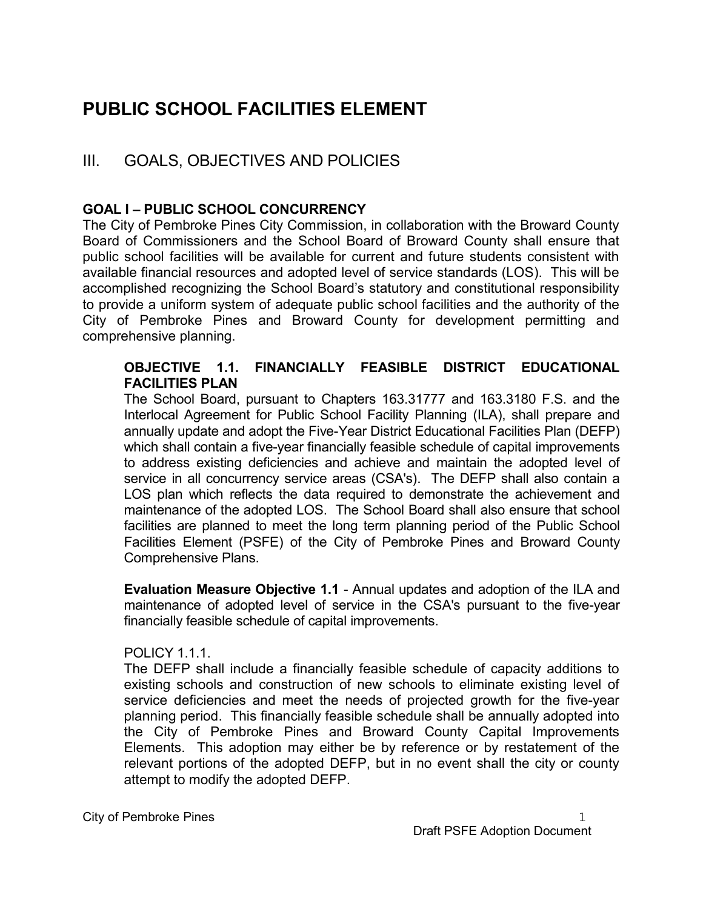# PUBLIC SCHOOL FACILITIES ELEMENT

# III. GOALS, OBJECTIVES AND POLICIES

# GOAL I – PUBLIC SCHOOL CONCURRENCY

The City of Pembroke Pines City Commission, in collaboration with the Broward County Board of Commissioners and the School Board of Broward County shall ensure that public school facilities will be available for current and future students consistent with available financial resources and adopted level of service standards (LOS). This will be accomplished recognizing the School Board's statutory and constitutional responsibility to provide a uniform system of adequate public school facilities and the authority of the City of Pembroke Pines and Broward County for development permitting and comprehensive planning.

#### OBJECTIVE 1.1. FINANCIALLY FEASIBLE DISTRICT EDUCATIONAL FACILITIES PLAN

The School Board, pursuant to Chapters 163.31777 and 163.3180 F.S. and the Interlocal Agreement for Public School Facility Planning (ILA), shall prepare and annually update and adopt the Five-Year District Educational Facilities Plan (DEFP) which shall contain a five-year financially feasible schedule of capital improvements to address existing deficiencies and achieve and maintain the adopted level of service in all concurrency service areas (CSA's). The DEFP shall also contain a LOS plan which reflects the data required to demonstrate the achievement and maintenance of the adopted LOS. The School Board shall also ensure that school facilities are planned to meet the long term planning period of the Public School Facilities Element (PSFE) of the City of Pembroke Pines and Broward County Comprehensive Plans.

Evaluation Measure Objective 1.1 - Annual updates and adoption of the ILA and maintenance of adopted level of service in the CSA's pursuant to the five-year financially feasible schedule of capital improvements.

# POLICY 1.1.1.

The DEFP shall include a financially feasible schedule of capacity additions to existing schools and construction of new schools to eliminate existing level of service deficiencies and meet the needs of projected growth for the five-year planning period. This financially feasible schedule shall be annually adopted into the City of Pembroke Pines and Broward County Capital Improvements Elements. This adoption may either be by reference or by restatement of the relevant portions of the adopted DEFP, but in no event shall the city or county attempt to modify the adopted DEFP.

City of Pembroke Pines 1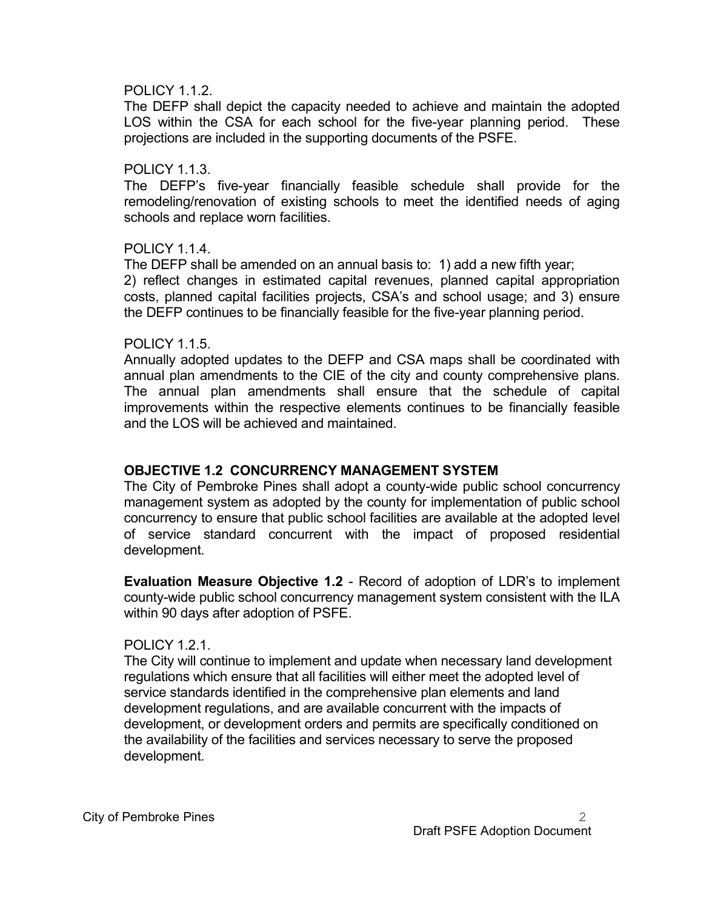#### POLICY 1.1.2.

 The DEFP shall depict the capacity needed to achieve and maintain the adopted LOS within the CSA for each school for the five-year planning period. These projections are included in the supporting documents of the PSFE.

#### POLICY 1.1.3.

 The DEFP's five-year financially feasible schedule shall provide for the remodeling/renovation of existing schools to meet the identified needs of aging schools and replace worn facilities.

#### POLICY 1.1.4.

 The DEFP shall be amended on an annual basis to: 1) add a new fifth year; 2) reflect changes in estimated capital revenues, planned capital appropriation costs, planned capital facilities projects, CSA's and school usage; and 3) ensure the DEFP continues to be financially feasible for the five-year planning period.

#### POLICY 1.1.5.

 Annually adopted updates to the DEFP and CSA maps shall be coordinated with annual plan amendments to the CIE of the city and county comprehensive plans. The annual plan amendments shall ensure that the schedule of capital improvements within the respective elements continues to be financially feasible and the LOS will be achieved and maintained.

#### OBJECTIVE 1.2 CONCURRENCY MANAGEMENT SYSTEM

The City of Pembroke Pines shall adopt a county-wide public school concurrency management system as adopted by the county for implementation of public school concurrency to ensure that public school facilities are available at the adopted level of service standard concurrent with the impact of proposed residential development.

 Evaluation Measure Objective 1.2 - Record of adoption of LDR's to implement county-wide public school concurrency management system consistent with the ILA within 90 days after adoption of PSFE.

#### POLICY 1.2.1.

The City will continue to implement and update when necessary land development regulations which ensure that all facilities will either meet the adopted level of service standards identified in the comprehensive plan elements and land development regulations, and are available concurrent with the impacts of development, or development orders and permits are specifically conditioned on the availability of the facilities and services necessary to serve the proposed development.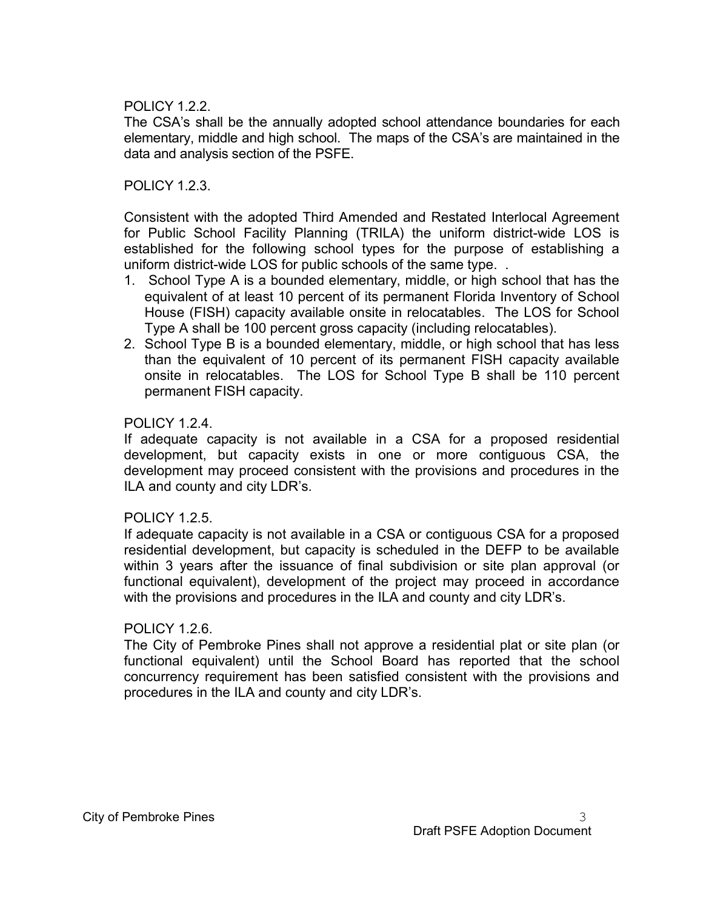#### POLICY 1.2.2.

 The CSA's shall be the annually adopted school attendance boundaries for each elementary, middle and high school. The maps of the CSA's are maintained in the data and analysis section of the PSFE.

#### POLICY 1.2.3.

 Consistent with the adopted Third Amended and Restated Interlocal Agreement for Public School Facility Planning (TRILA) the uniform district-wide LOS is established for the following school types for the purpose of establishing a uniform district-wide LOS for public schools of the same type. .

- 1. School Type A is a bounded elementary, middle, or high school that has the equivalent of at least 10 percent of its permanent Florida Inventory of School House (FISH) capacity available onsite in relocatables. The LOS for School Type A shall be 100 percent gross capacity (including relocatables).
- 2. School Type B is a bounded elementary, middle, or high school that has less than the equivalent of 10 percent of its permanent FISH capacity available onsite in relocatables. The LOS for School Type B shall be 110 percent permanent FISH capacity.

#### POLICY 1.2.4.

 If adequate capacity is not available in a CSA for a proposed residential development, but capacity exists in one or more contiguous CSA, the development may proceed consistent with the provisions and procedures in the ILA and county and city LDR's.

#### POLICY 1.2.5.

 If adequate capacity is not available in a CSA or contiguous CSA for a proposed residential development, but capacity is scheduled in the DEFP to be available within 3 years after the issuance of final subdivision or site plan approval (or functional equivalent), development of the project may proceed in accordance with the provisions and procedures in the ILA and county and city LDR's.

#### POLICY 1.2.6.

 The City of Pembroke Pines shall not approve a residential plat or site plan (or functional equivalent) until the School Board has reported that the school concurrency requirement has been satisfied consistent with the provisions and procedures in the ILA and county and city LDR's.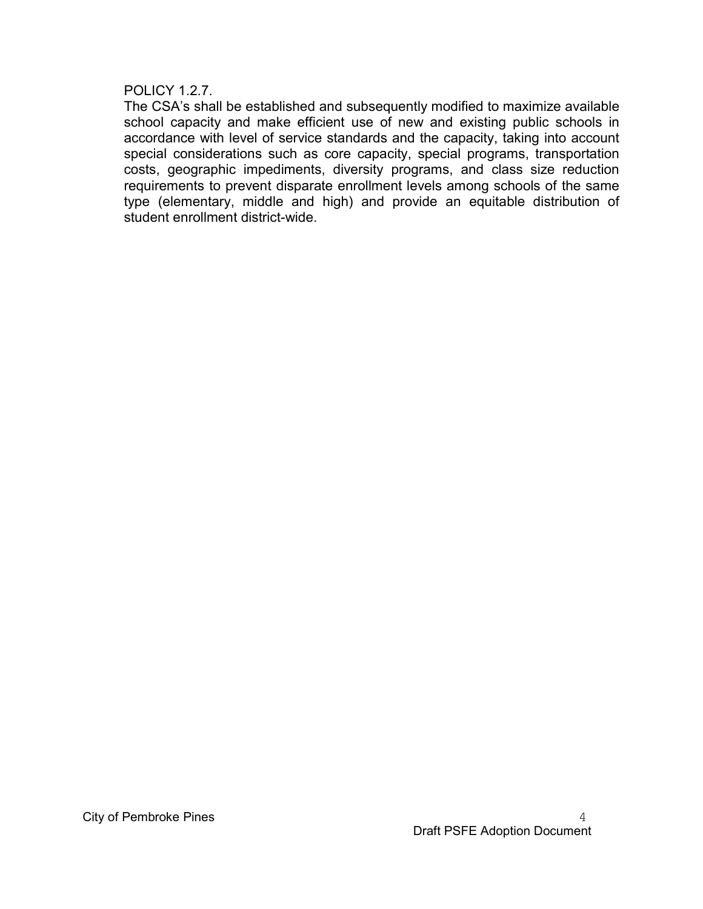#### POLICY 1.2.7.

 The CSA's shall be established and subsequently modified to maximize available school capacity and make efficient use of new and existing public schools in accordance with level of service standards and the capacity, taking into account special considerations such as core capacity, special programs, transportation costs, geographic impediments, diversity programs, and class size reduction requirements to prevent disparate enrollment levels among schools of the same type (elementary, middle and high) and provide an equitable distribution of student enrollment district-wide.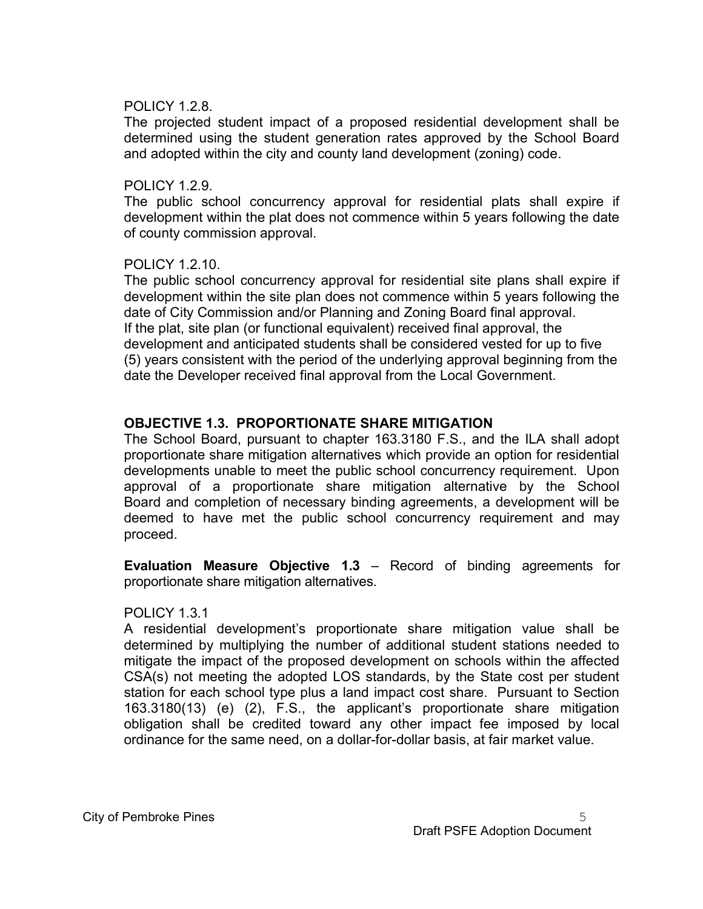#### POLICY 1.2.8.

 The projected student impact of a proposed residential development shall be determined using the student generation rates approved by the School Board and adopted within the city and county land development (zoning) code.

#### POLICY 1.2.9.

 The public school concurrency approval for residential plats shall expire if development within the plat does not commence within 5 years following the date of county commission approval.

#### POLICY 1.2.10.

 The public school concurrency approval for residential site plans shall expire if development within the site plan does not commence within 5 years following the date of City Commission and/or Planning and Zoning Board final approval. If the plat, site plan (or functional equivalent) received final approval, the development and anticipated students shall be considered vested for up to five (5) years consistent with the period of the underlying approval beginning from the date the Developer received final approval from the Local Government.

#### OBJECTIVE 1.3. PROPORTIONATE SHARE MITIGATION

 The School Board, pursuant to chapter 163.3180 F.S., and the ILA shall adopt proportionate share mitigation alternatives which provide an option for residential developments unable to meet the public school concurrency requirement. Upon approval of a proportionate share mitigation alternative by the School Board and completion of necessary binding agreements, a development will be deemed to have met the public school concurrency requirement and may proceed.

 Evaluation Measure Objective 1.3 – Record of binding agreements for proportionate share mitigation alternatives.

#### POLICY 1.3.1

 A residential development's proportionate share mitigation value shall be determined by multiplying the number of additional student stations needed to mitigate the impact of the proposed development on schools within the affected CSA(s) not meeting the adopted LOS standards, by the State cost per student station for each school type plus a land impact cost share. Pursuant to Section 163.3180(13) (e) (2), F.S., the applicant's proportionate share mitigation obligation shall be credited toward any other impact fee imposed by local ordinance for the same need, on a dollar-for-dollar basis, at fair market value.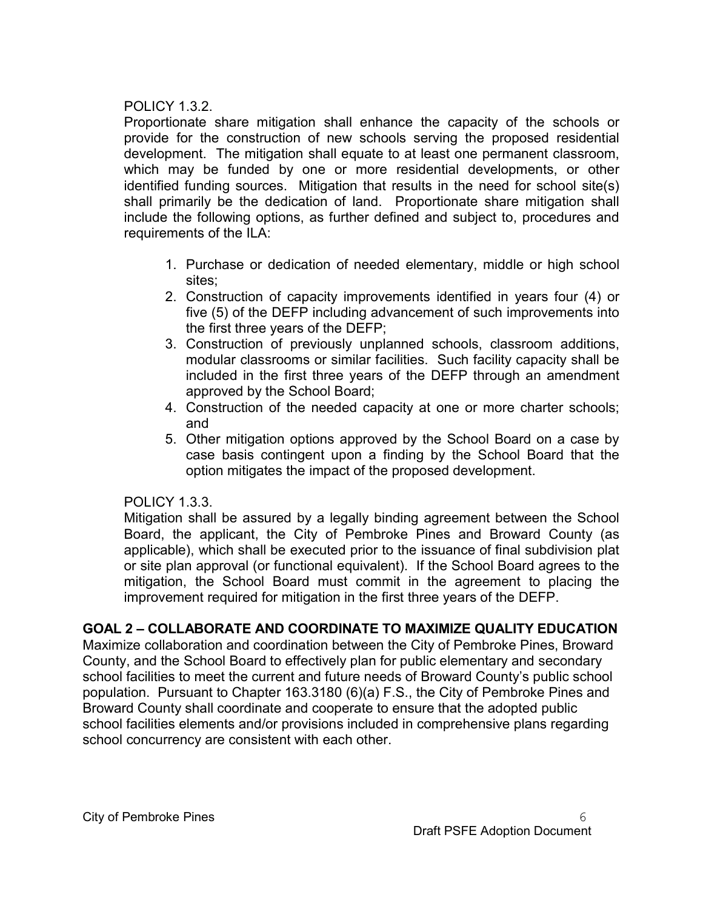#### POLICY 1.3.2.

 Proportionate share mitigation shall enhance the capacity of the schools or provide for the construction of new schools serving the proposed residential development. The mitigation shall equate to at least one permanent classroom, which may be funded by one or more residential developments, or other identified funding sources. Mitigation that results in the need for school site(s) shall primarily be the dedication of land. Proportionate share mitigation shall include the following options, as further defined and subject to, procedures and requirements of the ILA:

- 1. Purchase or dedication of needed elementary, middle or high school sites;
- 2. Construction of capacity improvements identified in years four (4) or five (5) of the DEFP including advancement of such improvements into the first three years of the DEFP;
- 3. Construction of previously unplanned schools, classroom additions, modular classrooms or similar facilities. Such facility capacity shall be included in the first three years of the DEFP through an amendment approved by the School Board;
- 4. Construction of the needed capacity at one or more charter schools; and
- 5. Other mitigation options approved by the School Board on a case by case basis contingent upon a finding by the School Board that the option mitigates the impact of the proposed development.

#### POLICY 1.3.3.

Mitigation shall be assured by a legally binding agreement between the School Board, the applicant, the City of Pembroke Pines and Broward County (as applicable), which shall be executed prior to the issuance of final subdivision plat or site plan approval (or functional equivalent). If the School Board agrees to the mitigation, the School Board must commit in the agreement to placing the improvement required for mitigation in the first three years of the DEFP.

# GOAL 2 – COLLABORATE AND COORDINATE TO MAXIMIZE QUALITY EDUCATION

Maximize collaboration and coordination between the City of Pembroke Pines, Broward County, and the School Board to effectively plan for public elementary and secondary school facilities to meet the current and future needs of Broward County's public school population. Pursuant to Chapter 163.3180 (6)(a) F.S., the City of Pembroke Pines and Broward County shall coordinate and cooperate to ensure that the adopted public school facilities elements and/or provisions included in comprehensive plans regarding school concurrency are consistent with each other.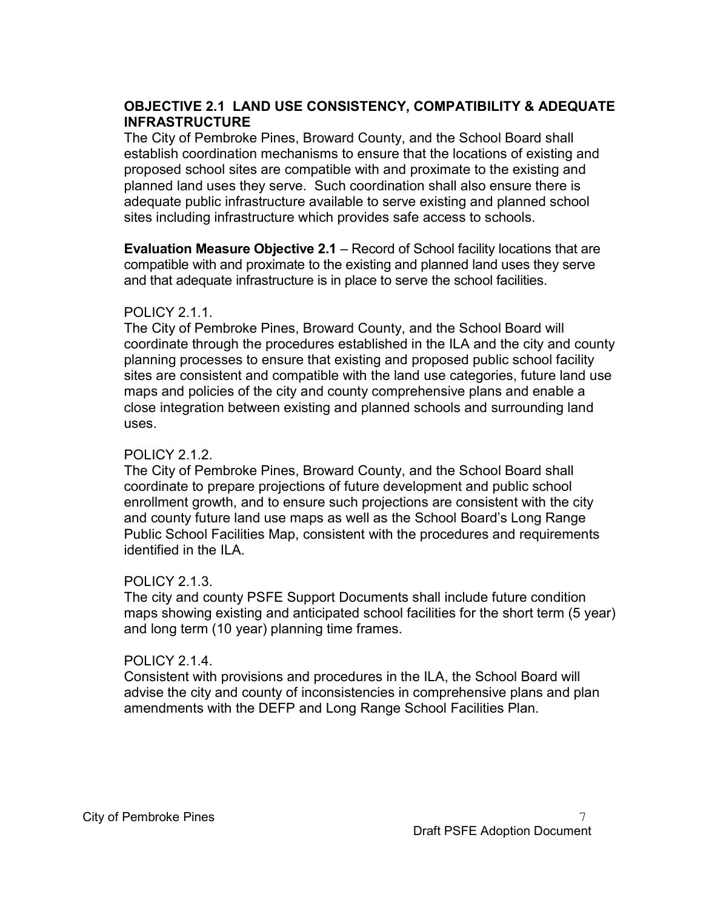# OBJECTIVE 2.1 LAND USE CONSISTENCY, COMPATIBILITY & ADEQUATE INFRASTRUCTURE

The City of Pembroke Pines, Broward County, and the School Board shall establish coordination mechanisms to ensure that the locations of existing and proposed school sites are compatible with and proximate to the existing and planned land uses they serve. Such coordination shall also ensure there is adequate public infrastructure available to serve existing and planned school sites including infrastructure which provides safe access to schools.

Evaluation Measure Objective 2.1 – Record of School facility locations that are compatible with and proximate to the existing and planned land uses they serve and that adequate infrastructure is in place to serve the school facilities.

#### **POLICY 2.1.1**

The City of Pembroke Pines, Broward County, and the School Board will coordinate through the procedures established in the ILA and the city and county planning processes to ensure that existing and proposed public school facility sites are consistent and compatible with the land use categories, future land use maps and policies of the city and county comprehensive plans and enable a close integration between existing and planned schools and surrounding land uses.

#### POLICY 2.1.2.

The City of Pembroke Pines, Broward County, and the School Board shall coordinate to prepare projections of future development and public school enrollment growth, and to ensure such projections are consistent with the city and county future land use maps as well as the School Board's Long Range Public School Facilities Map, consistent with the procedures and requirements identified in the ILA.

#### POLICY 2.1.3.

The city and county PSFE Support Documents shall include future condition maps showing existing and anticipated school facilities for the short term (5 year) and long term (10 year) planning time frames.

# POLICY 2.1.4.

Consistent with provisions and procedures in the ILA, the School Board will advise the city and county of inconsistencies in comprehensive plans and plan amendments with the DEFP and Long Range School Facilities Plan.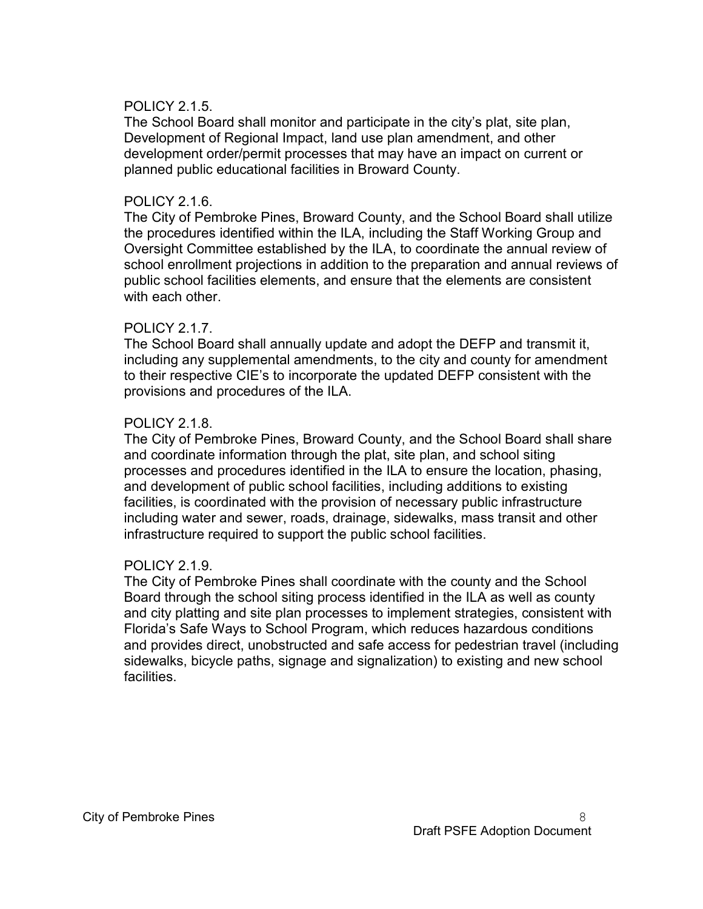#### POLICY 2.1.5.

The School Board shall monitor and participate in the city's plat, site plan, Development of Regional Impact, land use plan amendment, and other development order/permit processes that may have an impact on current or planned public educational facilities in Broward County.

#### POLICY 2.1.6.

The City of Pembroke Pines, Broward County, and the School Board shall utilize the procedures identified within the ILA, including the Staff Working Group and Oversight Committee established by the ILA, to coordinate the annual review of school enrollment projections in addition to the preparation and annual reviews of public school facilities elements, and ensure that the elements are consistent with each other.

#### POLICY 2.1.7.

The School Board shall annually update and adopt the DEFP and transmit it, including any supplemental amendments, to the city and county for amendment to their respective CIE's to incorporate the updated DEFP consistent with the provisions and procedures of the ILA.

#### POLICY 2.1.8.

The City of Pembroke Pines, Broward County, and the School Board shall share and coordinate information through the plat, site plan, and school siting processes and procedures identified in the ILA to ensure the location, phasing, and development of public school facilities, including additions to existing facilities, is coordinated with the provision of necessary public infrastructure including water and sewer, roads, drainage, sidewalks, mass transit and other infrastructure required to support the public school facilities.

#### POLICY 2.1.9.

The City of Pembroke Pines shall coordinate with the county and the School Board through the school siting process identified in the ILA as well as county and city platting and site plan processes to implement strategies, consistent with Florida's Safe Ways to School Program, which reduces hazardous conditions and provides direct, unobstructed and safe access for pedestrian travel (including sidewalks, bicycle paths, signage and signalization) to existing and new school facilities.